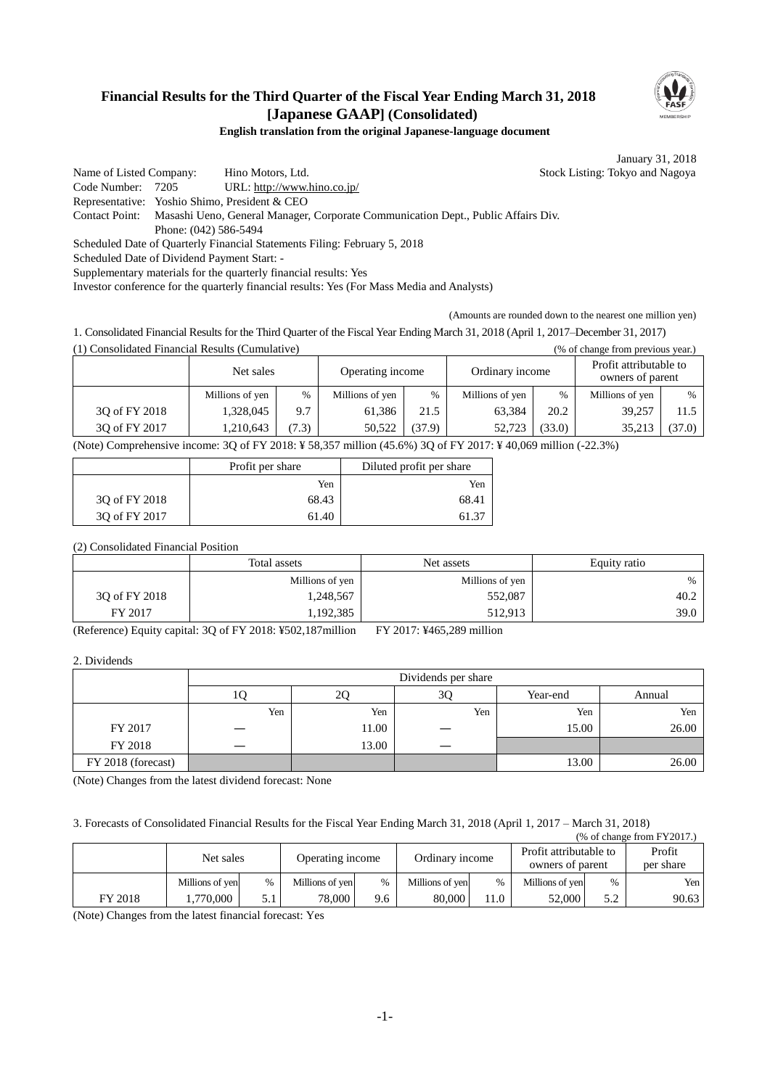## **Financial Results for the Third Quarter of the Fiscal Year Ending March 31, 2018 [Japanese GAAP] (Consolidated)**



## **English translation from the original Japanese-language document**

January 31, 2018

Name of Listed Company: Hino Motors, Ltd. Stock Listing: Tokyo and Nagoya Code Number: 7205 URL: http://www.hino.co.jp/ Representative: Yoshio Shimo, President & CEO Contact Point: Masashi Ueno, General Manager, Corporate Communication Dept., Public Affairs Div. Phone: (042) 586-5494 Scheduled Date of Quarterly Financial Statements Filing: February 5, 2018 Scheduled Date of Dividend Payment Start: -

Supplementary materials for the quarterly financial results: Yes

Investor conference for the quarterly financial results: Yes (For Mass Media and Analysts)

(Amounts are rounded down to the nearest one million yen)

1. Consolidated Financial Results for the Third Quarter of the Fiscal Year Ending March 31, 2018 (April 1, 2017–December 31, 2017) (1) Consolidated Financial Results (Cumulative) (% of change from previous year.)

|               | Net sales       |       | Operating income |        | Ordinary income |        | Profit attributable to<br>owners of parent |        |
|---------------|-----------------|-------|------------------|--------|-----------------|--------|--------------------------------------------|--------|
|               | Millions of yen | $\%$  | Millions of yen  | $\%$   | Millions of yen | $\%$   | Millions of yen                            | $\%$   |
| 30 of FY 2018 | 1,328,045       | 9.7   | 61,386           | 21.5   | 63.384          | 20.2   | 39.257                                     | 11.5   |
| 30 of FY 2017 | ,210,643        | (7.3) | 50,522           | (37.9) | 52.723          | (33.0) | 35,213                                     | (37.0) |

(Note) Comprehensive income: 3Q of FY 2018: ¥ 58,357 million (45.6%) 3Q of FY 2017: ¥ 40,069 million (-22.3%)

|               | Profit per share | Diluted profit per share |  |  |
|---------------|------------------|--------------------------|--|--|
|               | Yen              | Yen                      |  |  |
| 3Q of FY 2018 | 68.43            | 68.41                    |  |  |
| 30 of FY 2017 | 61.40            | 61.37                    |  |  |

(2) Consolidated Financial Position

|               | Total assets    | Net assets      | Equity ratio |
|---------------|-----------------|-----------------|--------------|
|               | Millions of yen | Millions of yen | $\%$         |
| 30 of FY 2018 | 1,248,567       | 552,087         | 40.2         |
| FY 2017       | 1,192,385       | 512,913         | 39.0         |

(Reference) Equity capital: 3Q of FY 2018: ¥502,187million FY 2017: ¥465,289 million

2. Dividends

|                    | Dividends per share |                                |     |       |       |  |  |  |  |  |
|--------------------|---------------------|--------------------------------|-----|-------|-------|--|--|--|--|--|
|                    |                     | 3Q<br>2Q<br>Year-end<br>Annual |     |       |       |  |  |  |  |  |
|                    | Yen                 | Yen                            | Yen | Yen   | Yen   |  |  |  |  |  |
| FY 2017            |                     | 11.00                          |     | 15.00 | 26.00 |  |  |  |  |  |
| FY 2018            | _                   | 13.00                          |     |       |       |  |  |  |  |  |
| FY 2018 (forecast) |                     |                                |     | 13.00 | 26.00 |  |  |  |  |  |

(Note) Changes from the latest dividend forecast: None

3. Forecasts of Consolidated Financial Results for the Fiscal Year Ending March 31, 2018 (April 1, 2017 – March 31, 2018)  $(0.66 \text{ change from EVA}017)$ 

| (% of change from F Y 2017.) |                 |     |                  |      |                 |               |                                            |      |                     |
|------------------------------|-----------------|-----|------------------|------|-----------------|---------------|--------------------------------------------|------|---------------------|
|                              | Net sales       |     | Operating income |      | Ordinary income |               | Profit attributable to<br>owners of parent |      | Profit<br>per share |
|                              | Millions of yen | %   | Millions of yen  | $\%$ | Millions of ven | $\frac{0}{0}$ | Millions of ven                            | $\%$ | Yen I               |
| FY 2018                      | 1.770.000       | 5.1 | 78,000           | 9.6  | 80,000          | 1.0           | 52.000                                     | 5.2  | 90.63               |

(Note) Changes from the latest financial forecast: Yes